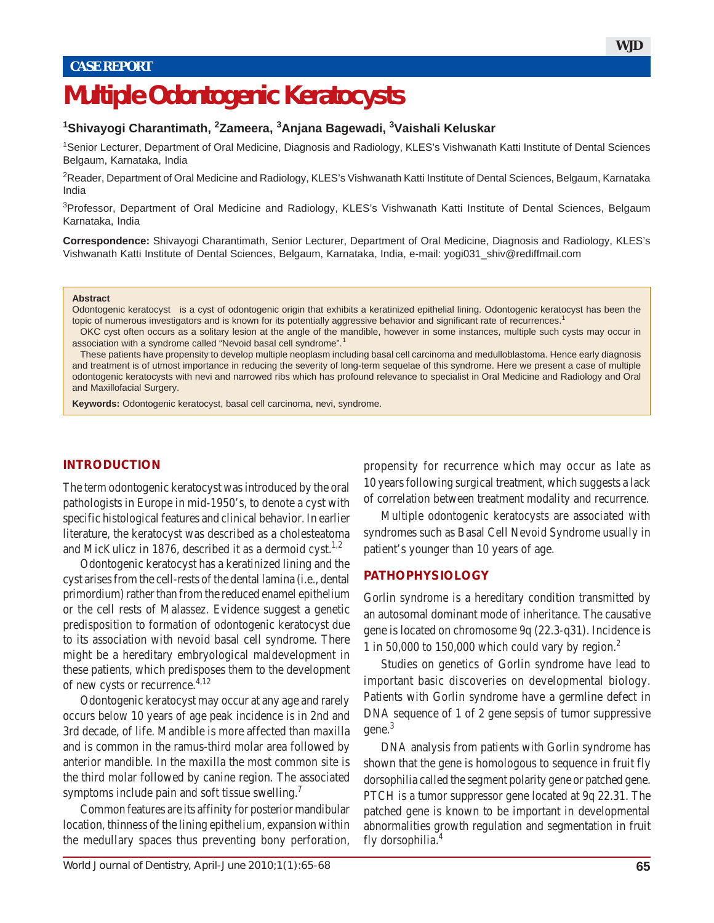# **Multiple Odontogenic Keratocysts**

#### **1 Shivayogi Charantimath, <sup>2</sup> Zameera, <sup>3</sup> Anjana Bagewadi, 3 Vaishali Keluskar**

1 Senior Lecturer, Department of Oral Medicine, Diagnosis and Radiology, KLES's Vishwanath Katti Institute of Dental Sciences Belgaum, Karnataka, India

<sup>2</sup>Reader, Department of Oral Medicine and Radiology, KLES's Vishwanath Katti Institute of Dental Sciences, Belgaum, Karnataka India

<sup>3</sup>Professor, Department of Oral Medicine and Radiology, KLES's Vishwanath Katti Institute of Dental Sciences, Belgaum Karnataka, India

**Correspondence:** Shivayogi Charantimath, Senior Lecturer, Department of Oral Medicine, Diagnosis and Radiology, KLES's Vishwanath Katti Institute of Dental Sciences, Belgaum, Karnataka, India, e-mail: yogi031\_shiv@rediffmail.com

#### **Abstract**

Odontogenic keratocyst is a cyst of odontogenic origin that exhibits a keratinized epithelial lining. Odontogenic keratocyst has been the topic of numerous investigators and is known for its potentially aggressive behavior and significant rate of recurrences.<sup>1</sup>

OKC cyst often occurs as a solitary lesion at the angle of the mandible, however in some instances, multiple such cysts may occur in association with a syndrome called "Nevoid basal cell syndrome".<sup>1</sup>

These patients have propensity to develop multiple neoplasm including basal cell carcinoma and medulloblastoma. Hence early diagnosis and treatment is of utmost importance in reducing the severity of long-term sequelae of this syndrome. Here we present a case of multiple odontogenic keratocysts with nevi and narrowed ribs which has profound relevance to specialist in Oral Medicine and Radiology and Oral and Maxillofacial Surgery.

**Keywords:** Odontogenic keratocyst, basal cell carcinoma, nevi, syndrome.

#### **INTRODUCTION**

The term odontogenic keratocyst was introduced by the oral pathologists in Europe in mid-1950's, to denote a cyst with specific histological features and clinical behavior. In earlier literature, the keratocyst was described as a cholesteatoma and MicKulicz in 1876, described it as a dermoid cyst.<sup>1,2</sup>

Odontogenic keratocyst has a keratinized lining and the cyst arises from the cell-rests of the dental lamina (i.e., dental primordium) rather than from the reduced enamel epithelium or the cell rests of Malassez. Evidence suggest a genetic predisposition to formation of odontogenic keratocyst due to its association with nevoid basal cell syndrome. There might be a hereditary embryological maldevelopment in these patients, which predisposes them to the development of new cysts or recurrence.4,12

Odontogenic keratocyst may occur at any age and rarely occurs below 10 years of age peak incidence is in 2nd and 3rd decade, of life. Mandible is more affected than maxilla and is common in the ramus-third molar area followed by anterior mandible. In the maxilla the most common site is the third molar followed by canine region. The associated symptoms include pain and soft tissue swelling.<sup>7</sup>

Common features are its affinity for posterior mandibular location, thinness of the lining epithelium, expansion within the medullary spaces thus preventing bony perforation, propensity for recurrence which may occur as late as 10 years following surgical treatment, which suggests a lack of correlation between treatment modality and recurrence.

Multiple odontogenic keratocysts are associated with syndromes such as Basal Cell Nevoid Syndrome usually in patient's younger than 10 years of age.

#### **PATHOPHYSIOLOGY**

Gorlin syndrome is a hereditary condition transmitted by an autosomal dominant mode of inheritance. The causative gene is located on chromosome 9q (22.3-q31). Incidence is 1 in 50,000 to 150,000 which could vary by region. $<sup>2</sup>$ </sup>

Studies on genetics of Gorlin syndrome have lead to important basic discoveries on developmental biology. Patients with Gorlin syndrome have a germline defect in DNA sequence of 1 of 2 gene sepsis of tumor suppressive gene.3

DNA analysis from patients with Gorlin syndrome has shown that the gene is homologous to sequence in fruit fly dorsophilia called the segment polarity gene or patched gene. PTCH is a tumor suppressor gene located at 9q 22.31. The patched gene is known to be important in developmental abnormalities growth regulation and segmentation in fruit fly dorsophilia.4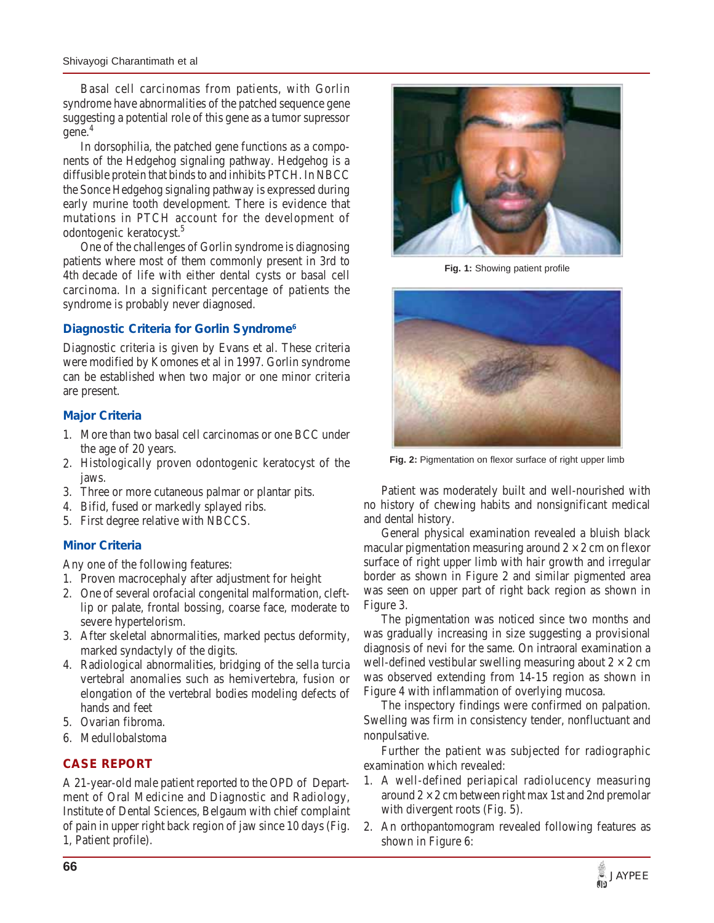Basal cell carcinomas from patients, with Gorlin syndrome have abnormalities of the patched sequence gene suggesting a potential role of this gene as a tumor supressor gene.4

In dorsophilia, the patched gene functions as a components of the Hedgehog signaling pathway. Hedgehog is a diffusible protein that binds to and inhibits PTCH. In NBCC the Sonce Hedgehog signaling pathway is expressed during early murine tooth development. There is evidence that mutations in PTCH account for the development of odontogenic keratocyst.5

One of the challenges of Gorlin syndrome is diagnosing patients where most of them commonly present in 3rd to 4th decade of life with either dental cysts or basal cell carcinoma. In a significant percentage of patients the syndrome is probably never diagnosed.

#### **Diagnostic Criteria for Gorlin Syndrome6**

Diagnostic criteria is given by Evans et al. These criteria were modified by Komones et al in 1997. Gorlin syndrome can be established when two major or one minor criteria are present.

# **Major Criteria**

- 1. More than two basal cell carcinomas or one BCC under the age of 20 years.
- 2. Histologically proven odontogenic keratocyst of the jaws.
- 3. Three or more cutaneous palmar or plantar pits.
- 4. Bifid, fused or markedly splayed ribs.
- 5. First degree relative with NBCCS.

# **Minor Criteria**

Any one of the following features:

- 1. Proven macrocephaly after adjustment for height
- 2. One of several orofacial congenital malformation, cleftlip or palate, frontal bossing, coarse face, moderate to severe hypertelorism.
- 3. After skeletal abnormalities, marked pectus deformity, marked syndactyly of the digits.
- 4. Radiological abnormalities, bridging of the sella turcia vertebral anomalies such as hemivertebra, fusion or elongation of the vertebral bodies modeling defects of hands and feet
- 5. Ovarian fibroma.
- 6. Medullobalstoma

# **CASE REPORT**

A 21-year-old male patient reported to the OPD of Department of Oral Medicine and Diagnostic and Radiology, Institute of Dental Sciences, Belgaum with chief complaint of pain in upper right back region of jaw since 10 days (Fig. 1, Patient profile).



**Fig. 1:** Showing patient profile



**Fig. 2:** Pigmentation on flexor surface of right upper limb

Patient was moderately built and well-nourished with no history of chewing habits and nonsignificant medical and dental history.

General physical examination revealed a bluish black macular pigmentation measuring around  $2 \times 2$  cm on flexor surface of right upper limb with hair growth and irregular border as shown in Figure 2 and similar pigmented area was seen on upper part of right back region as shown in Figure 3.

The pigmentation was noticed since two months and was gradually increasing in size suggesting a provisional diagnosis of nevi for the same. On intraoral examination a well-defined vestibular swelling measuring about  $2 \times 2$  cm was observed extending from 14-15 region as shown in Figure 4 with inflammation of overlying mucosa.

The inspectory findings were confirmed on palpation. Swelling was firm in consistency tender, nonfluctuant and nonpulsative.

Further the patient was subjected for radiographic examination which revealed:

- 1. A well-defined periapical radiolucency measuring around  $2 \times 2$  cm between right max 1st and 2nd premolar with divergent roots (Fig. 5).
- 2. An orthopantomogram revealed following features as shown in Figure 6: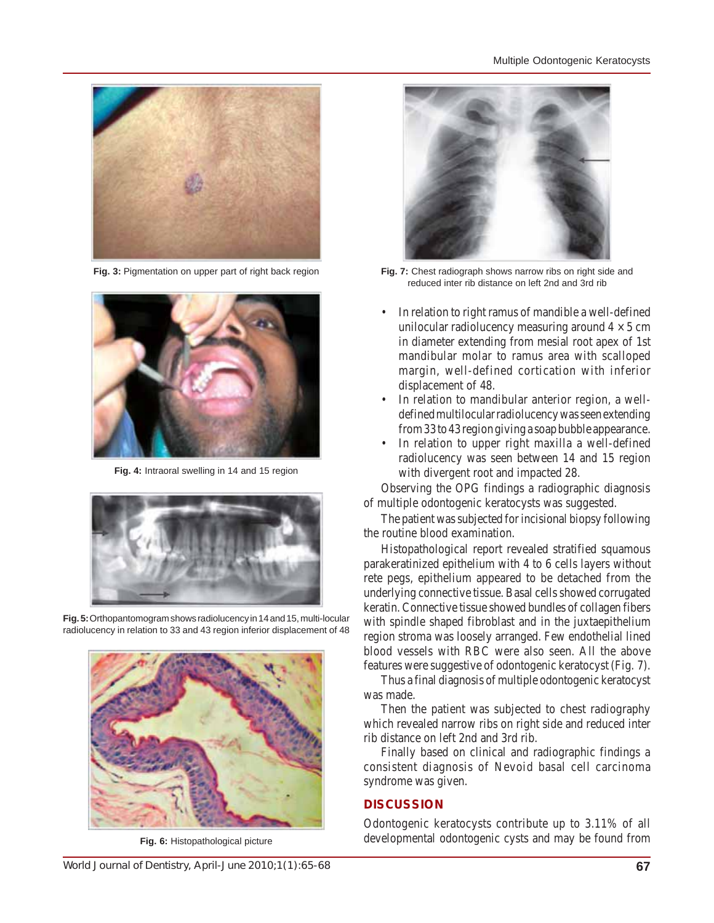



**Fig. 4:** Intraoral swelling in 14 and 15 region



radiolucency in relation to 33 and 43 region inferior displacement of 48



**Fig. 6:** Histopathological picture



**Fig. 3:** Pigmentation on upper part of right back region **Fig. 7:** Chest radiograph shows narrow ribs on right side and reduced inter rib distance on left 2nd and 3rd rib

- In relation to right ramus of mandible a well-defined unilocular radiolucency measuring around  $4 \times 5$  cm in diameter extending from mesial root apex of 1st mandibular molar to ramus area with scalloped margin, well-defined cortication with inferior displacement of 48.
- In relation to mandibular anterior region, a welldefined multilocular radiolucency was seen extending from 33 to 43 region giving a soap bubble appearance.
- In relation to upper right maxilla a well-defined radiolucency was seen between 14 and 15 region with divergent root and impacted 28.

Observing the OPG findings a radiographic diagnosis of multiple odontogenic keratocysts was suggested.

The patient was subjected for incisional biopsy following the routine blood examination.

Histopathological report revealed stratified squamous parakeratinized epithelium with 4 to 6 cells layers without rete pegs, epithelium appeared to be detached from the underlying connective tissue. Basal cells showed corrugated keratin. Connective tissue showed bundles of collagen fibers with spindle shaped fibroblast and in the juxtaepithelium region stroma was loosely arranged. Few endothelial lined blood vessels with RBC were also seen. All the above features were suggestive of odontogenic keratocyst (Fig. 7).

Thus a final diagnosis of multiple odontogenic keratocyst was made.

Then the patient was subjected to chest radiography which revealed narrow ribs on right side and reduced inter rib distance on left 2nd and 3rd rib.

Finally based on clinical and radiographic findings a consistent diagnosis of Nevoid basal cell carcinoma syndrome was given.

# **DISCUSSION**

Odontogenic keratocysts contribute up to 3.11% of all developmental odontogenic cysts and may be found from